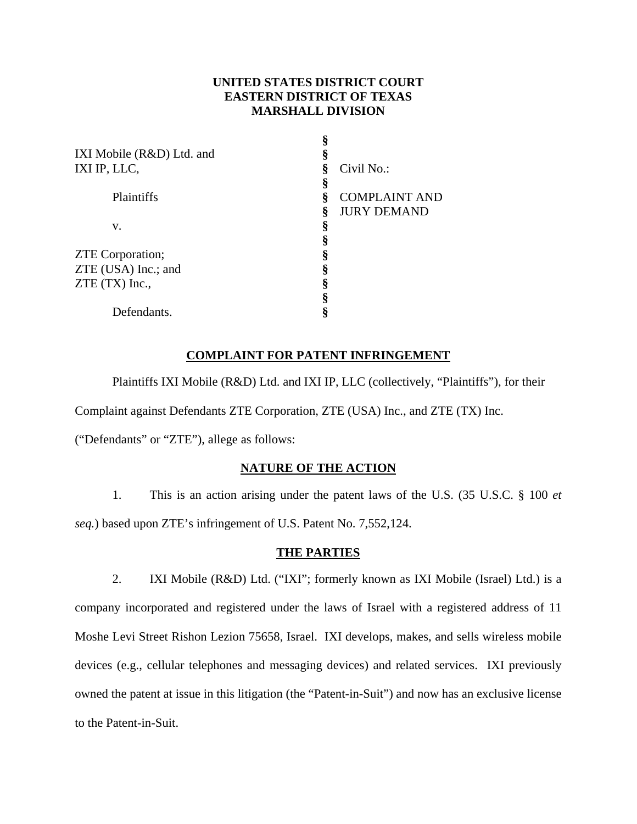# **UNITED STATES DISTRICT COURT EASTERN DISTRICT OF TEXAS MARSHALL DIVISION**

|                           | §                         |
|---------------------------|---------------------------|
| IXI Mobile (R&D) Ltd. and | §                         |
| IXI IP, LLC,              | Civil No.:<br>ş           |
|                           | §                         |
| Plaintiffs                | ş<br><b>COMPLAINT AND</b> |
|                           | ş<br><b>JURY DEMAND</b>   |
| v.                        | §                         |
|                           | §                         |
| <b>ZTE</b> Corporation;   | §                         |
| ZTE (USA) Inc.; and       | §                         |
| $ZTE(TX)$ Inc.,           | §                         |
|                           | §                         |
| Defendants.               | 8                         |

# **COMPLAINT FOR PATENT INFRINGEMENT**

Plaintiffs IXI Mobile (R&D) Ltd. and IXI IP, LLC (collectively, "Plaintiffs"), for their

Complaint against Defendants ZTE Corporation, ZTE (USA) Inc., and ZTE (TX) Inc.

("Defendants" or "ZTE"), allege as follows:

## **NATURE OF THE ACTION**

1. This is an action arising under the patent laws of the U.S. (35 U.S.C. § 100 *et seq.*) based upon ZTE's infringement of U.S. Patent No. 7,552,124.

## **THE PARTIES**

2. IXI Mobile (R&D) Ltd. ("IXI"; formerly known as IXI Mobile (Israel) Ltd.) is a company incorporated and registered under the laws of Israel with a registered address of 11 Moshe Levi Street Rishon Lezion 75658, Israel. IXI develops, makes, and sells wireless mobile devices (e.g., cellular telephones and messaging devices) and related services. IXI previously owned the patent at issue in this litigation (the "Patent-in-Suit") and now has an exclusive license to the Patent-in-Suit.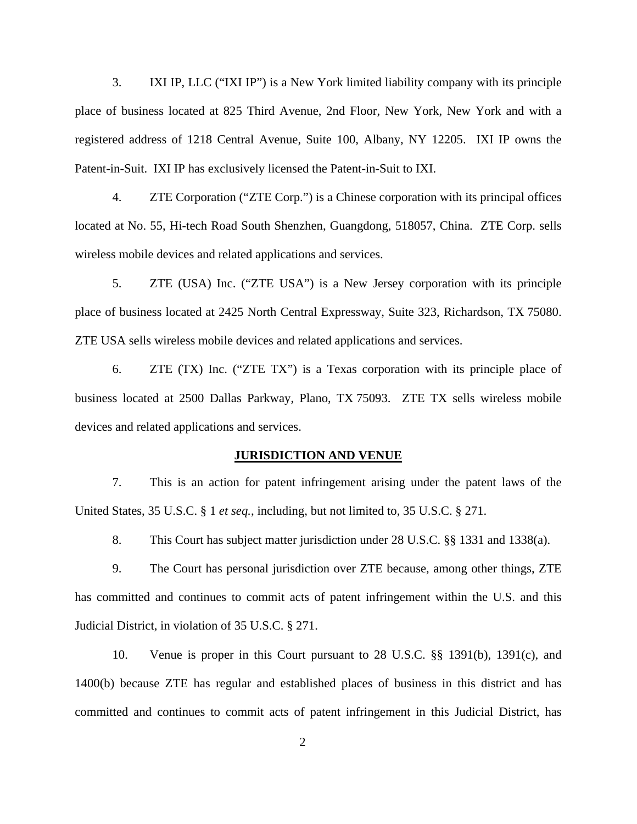3. IXI IP, LLC ("IXI IP") is a New York limited liability company with its principle place of business located at 825 Third Avenue, 2nd Floor, New York, New York and with a registered address of 1218 Central Avenue, Suite 100, Albany, NY 12205. IXI IP owns the Patent-in-Suit. IXI IP has exclusively licensed the Patent-in-Suit to IXI.

4. ZTE Corporation ("ZTE Corp.") is a Chinese corporation with its principal offices located at No. 55, Hi-tech Road South Shenzhen, Guangdong, 518057, China. ZTE Corp. sells wireless mobile devices and related applications and services.

5. ZTE (USA) Inc. ("ZTE USA") is a New Jersey corporation with its principle place of business located at 2425 North Central Expressway, Suite 323, Richardson, TX 75080. ZTE USA sells wireless mobile devices and related applications and services.

6. ZTE (TX) Inc. ("ZTE TX") is a Texas corporation with its principle place of business located at 2500 Dallas Parkway, Plano, TX 75093. ZTE TX sells wireless mobile devices and related applications and services.

### **JURISDICTION AND VENUE**

7. This is an action for patent infringement arising under the patent laws of the United States, 35 U.S.C. § 1 *et seq.*, including, but not limited to, 35 U.S.C. § 271.

8. This Court has subject matter jurisdiction under 28 U.S.C. §§ 1331 and 1338(a).

9. The Court has personal jurisdiction over ZTE because, among other things, ZTE has committed and continues to commit acts of patent infringement within the U.S. and this Judicial District, in violation of 35 U.S.C. § 271.

10. Venue is proper in this Court pursuant to 28 U.S.C. §§ 1391(b), 1391(c), and 1400(b) because ZTE has regular and established places of business in this district and has committed and continues to commit acts of patent infringement in this Judicial District, has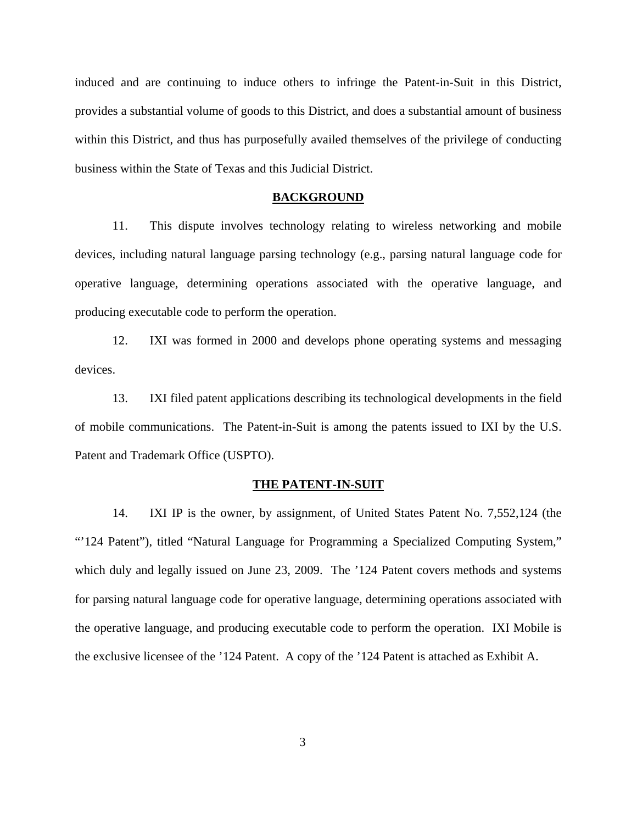induced and are continuing to induce others to infringe the Patent-in-Suit in this District, provides a substantial volume of goods to this District, and does a substantial amount of business within this District, and thus has purposefully availed themselves of the privilege of conducting business within the State of Texas and this Judicial District.

#### **BACKGROUND**

11. This dispute involves technology relating to wireless networking and mobile devices, including natural language parsing technology (e.g., parsing natural language code for operative language, determining operations associated with the operative language, and producing executable code to perform the operation.

12. IXI was formed in 2000 and develops phone operating systems and messaging devices.

13. IXI filed patent applications describing its technological developments in the field of mobile communications. The Patent-in-Suit is among the patents issued to IXI by the U.S. Patent and Trademark Office (USPTO).

#### **THE PATENT-IN-SUIT**

14. IXI IP is the owner, by assignment, of United States Patent No. 7,552,124 (the "'124 Patent"), titled "Natural Language for Programming a Specialized Computing System," which duly and legally issued on June 23, 2009. The '124 Patent covers methods and systems for parsing natural language code for operative language, determining operations associated with the operative language, and producing executable code to perform the operation. IXI Mobile is the exclusive licensee of the '124 Patent. A copy of the '124 Patent is attached as Exhibit A.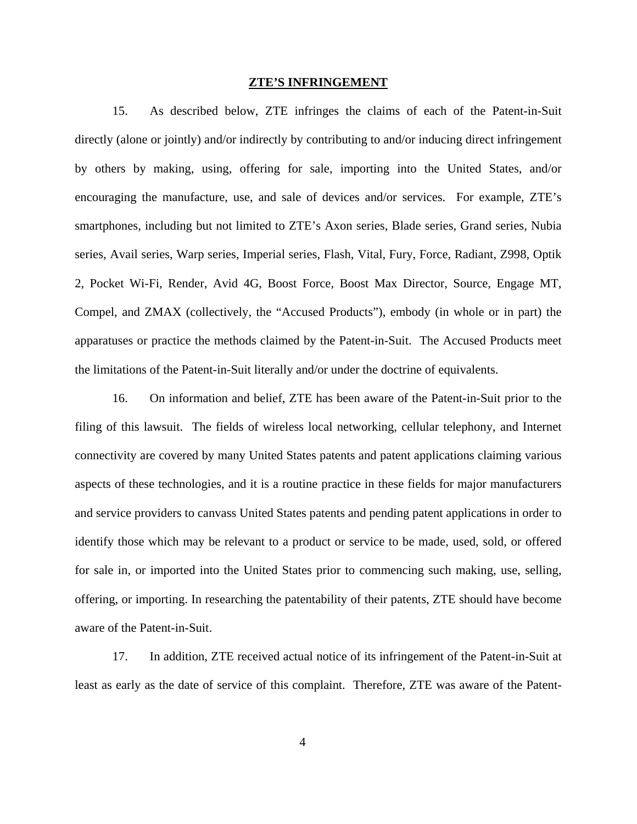#### **ZTE'S INFRINGEMENT**

15. As described below, ZTE infringes the claims of each of the Patent-in-Suit directly (alone or jointly) and/or indirectly by contributing to and/or inducing direct infringement by others by making, using, offering for sale, importing into the United States, and/or encouraging the manufacture, use, and sale of devices and/or services. For example, ZTE's smartphones, including but not limited to ZTE's Axon series, Blade series, Grand series, Nubia series, Avail series, Warp series, Imperial series, Flash, Vital, Fury, Force, Radiant, Z998, Optik 2, Pocket Wi-Fi, Render, Avid 4G, Boost Force, Boost Max Director, Source, Engage MT, Compel, and ZMAX (collectively, the "Accused Products"), embody (in whole or in part) the apparatuses or practice the methods claimed by the Patent-in-Suit. The Accused Products meet the limitations of the Patent-in-Suit literally and/or under the doctrine of equivalents.

16. On information and belief, ZTE has been aware of the Patent-in-Suit prior to the filing of this lawsuit. The fields of wireless local networking, cellular telephony, and Internet connectivity are covered by many United States patents and patent applications claiming various aspects of these technologies, and it is a routine practice in these fields for major manufacturers and service providers to canvass United States patents and pending patent applications in order to identify those which may be relevant to a product or service to be made, used, sold, or offered for sale in, or imported into the United States prior to commencing such making, use, selling, offering, or importing. In researching the patentability of their patents, ZTE should have become aware of the Patent-in-Suit.

17. In addition, ZTE received actual notice of its infringement of the Patent-in-Suit at least as early as the date of service of this complaint. Therefore, ZTE was aware of the Patent-

4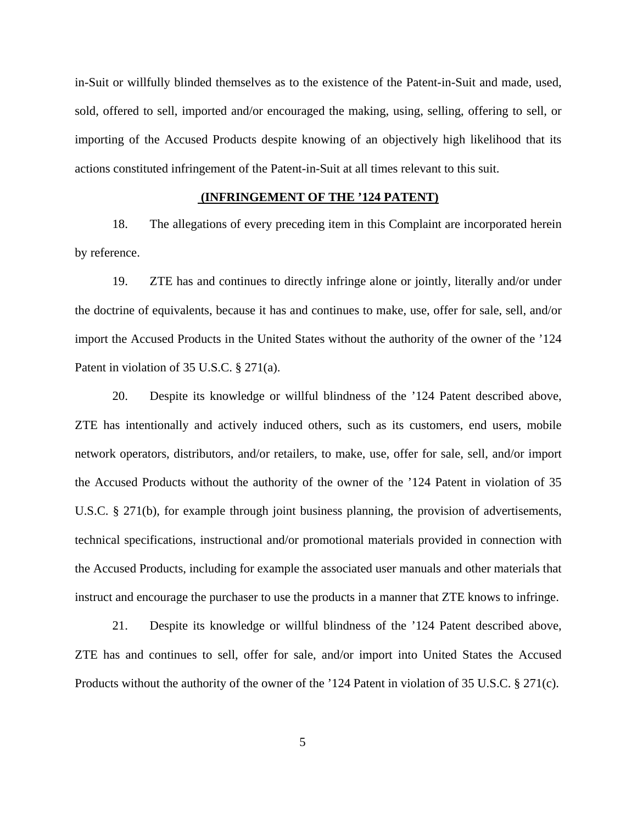in-Suit or willfully blinded themselves as to the existence of the Patent-in-Suit and made, used, sold, offered to sell, imported and/or encouraged the making, using, selling, offering to sell, or importing of the Accused Products despite knowing of an objectively high likelihood that its actions constituted infringement of the Patent-in-Suit at all times relevant to this suit.

## **(INFRINGEMENT OF THE '124 PATENT)**

18. The allegations of every preceding item in this Complaint are incorporated herein by reference.

19. ZTE has and continues to directly infringe alone or jointly, literally and/or under the doctrine of equivalents, because it has and continues to make, use, offer for sale, sell, and/or import the Accused Products in the United States without the authority of the owner of the '124 Patent in violation of 35 U.S.C. § 271(a).

20. Despite its knowledge or willful blindness of the '124 Patent described above, ZTE has intentionally and actively induced others, such as its customers, end users, mobile network operators, distributors, and/or retailers, to make, use, offer for sale, sell, and/or import the Accused Products without the authority of the owner of the '124 Patent in violation of 35 U.S.C. § 271(b), for example through joint business planning, the provision of advertisements, technical specifications, instructional and/or promotional materials provided in connection with the Accused Products, including for example the associated user manuals and other materials that instruct and encourage the purchaser to use the products in a manner that ZTE knows to infringe.

21. Despite its knowledge or willful blindness of the '124 Patent described above, ZTE has and continues to sell, offer for sale, and/or import into United States the Accused Products without the authority of the owner of the '124 Patent in violation of 35 U.S.C. § 271(c).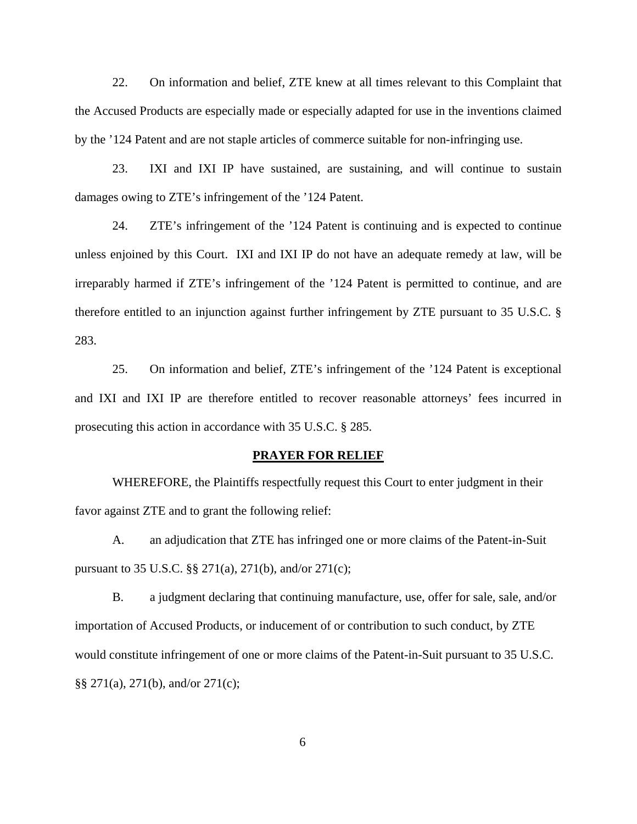22. On information and belief, ZTE knew at all times relevant to this Complaint that the Accused Products are especially made or especially adapted for use in the inventions claimed by the '124 Patent and are not staple articles of commerce suitable for non-infringing use.

23. IXI and IXI IP have sustained, are sustaining, and will continue to sustain damages owing to ZTE's infringement of the '124 Patent.

24. ZTE's infringement of the '124 Patent is continuing and is expected to continue unless enjoined by this Court. IXI and IXI IP do not have an adequate remedy at law, will be irreparably harmed if ZTE's infringement of the '124 Patent is permitted to continue, and are therefore entitled to an injunction against further infringement by ZTE pursuant to 35 U.S.C. § 283.

25. On information and belief, ZTE's infringement of the '124 Patent is exceptional and IXI and IXI IP are therefore entitled to recover reasonable attorneys' fees incurred in prosecuting this action in accordance with 35 U.S.C. § 285.

### **PRAYER FOR RELIEF**

WHEREFORE, the Plaintiffs respectfully request this Court to enter judgment in their favor against ZTE and to grant the following relief:

A. an adjudication that ZTE has infringed one or more claims of the Patent-in-Suit pursuant to 35 U.S.C. §§ 271(a), 271(b), and/or 271(c);

B. a judgment declaring that continuing manufacture, use, offer for sale, sale, and/or importation of Accused Products, or inducement of or contribution to such conduct, by ZTE would constitute infringement of one or more claims of the Patent-in-Suit pursuant to 35 U.S.C. §§ 271(a), 271(b), and/or 271(c);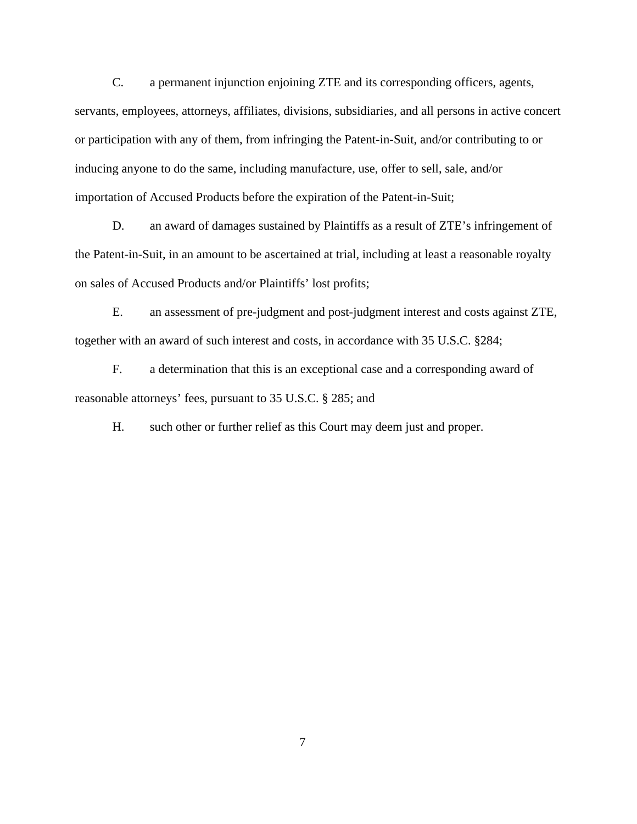C. a permanent injunction enjoining ZTE and its corresponding officers, agents, servants, employees, attorneys, affiliates, divisions, subsidiaries, and all persons in active concert or participation with any of them, from infringing the Patent-in-Suit, and/or contributing to or inducing anyone to do the same, including manufacture, use, offer to sell, sale, and/or importation of Accused Products before the expiration of the Patent-in-Suit;

D. an award of damages sustained by Plaintiffs as a result of ZTE's infringement of the Patent-in-Suit, in an amount to be ascertained at trial, including at least a reasonable royalty on sales of Accused Products and/or Plaintiffs' lost profits;

E. an assessment of pre-judgment and post-judgment interest and costs against ZTE, together with an award of such interest and costs, in accordance with 35 U.S.C. §284;

F. a determination that this is an exceptional case and a corresponding award of reasonable attorneys' fees, pursuant to 35 U.S.C. § 285; and

H. such other or further relief as this Court may deem just and proper.

7